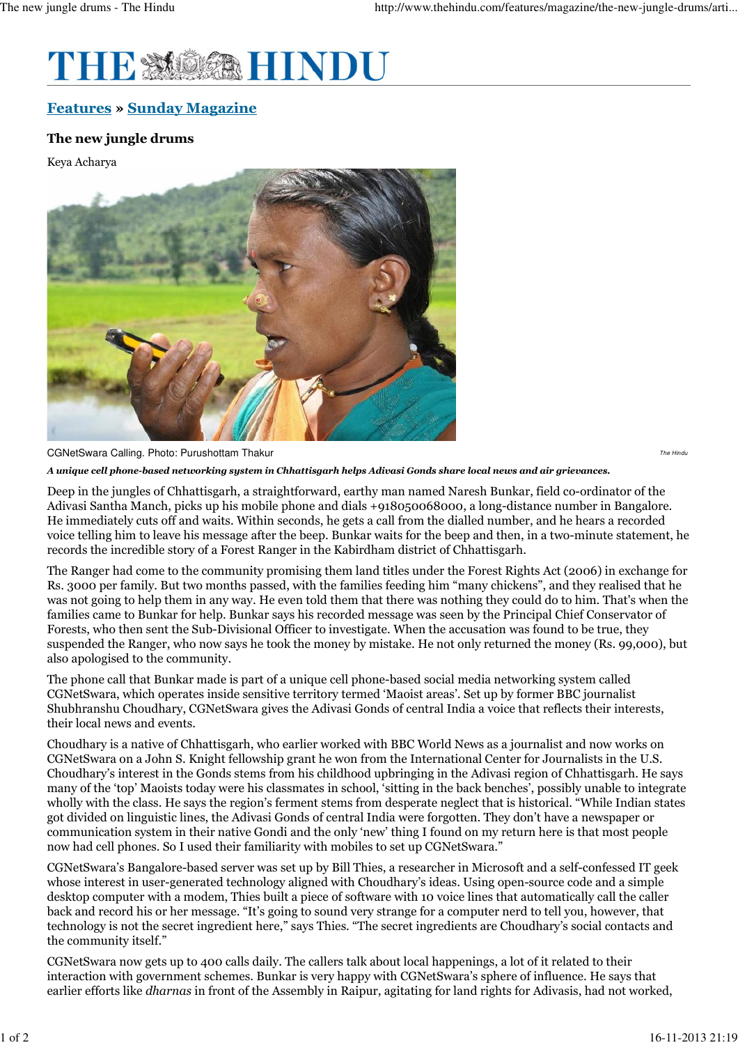

## Features » Sunday Magazine

CGNetSwara Calling. Photo: Purushottam Thakur

## The new jungle drums

Keya Acharya



The Hind

A unique cell phone-based networking system in Chhattisgarh helps Adivasi Gonds share local news and air grievances.

Deep in the jungles of Chhattisgarh, a straightforward, earthy man named Naresh Bunkar, field co-ordinator of the Adivasi Santha Manch, picks up his mobile phone and dials +918050068000, a long-distance number in Bangalore. He immediately cuts off and waits. Within seconds, he gets a call from the dialled number, and he hears a recorded voice telling him to leave his message after the beep. Bunkar waits for the beep and then, in a two-minute statement, he records the incredible story of a Forest Ranger in the Kabirdham district of Chhattisgarh.

The Ranger had come to the community promising them land titles under the Forest Rights Act (2006) in exchange for Rs. 3000 per family. But two months passed, with the families feeding him "many chickens", and they realised that he was not going to help them in any way. He even told them that there was nothing they could do to him. That's when the families came to Bunkar for help. Bunkar says his recorded message was seen by the Principal Chief Conservator of Forests, who then sent the Sub-Divisional Officer to investigate. When the accusation was found to be true, they suspended the Ranger, who now says he took the money by mistake. He not only returned the money (Rs. 99,000), but also apologised to the community.

The phone call that Bunkar made is part of a unique cell phone-based social media networking system called CGNetSwara, which operates inside sensitive territory termed 'Maoist areas'. Set up by former BBC journalist Shubhranshu Choudhary, CGNetSwara gives the Adivasi Gonds of central India a voice that reflects their interests, their local news and events.

Choudhary is a native of Chhattisgarh, who earlier worked with BBC World News as a journalist and now works on CGNetSwara on a John S. Knight fellowship grant he won from the International Center for Journalists in the U.S. Choudhary's interest in the Gonds stems from his childhood upbringing in the Adivasi region of Chhattisgarh. He says many of the 'top' Maoists today were his classmates in school, 'sitting in the back benches', possibly unable to integrate wholly with the class. He says the region's ferment stems from desperate neglect that is historical. "While Indian states got divided on linguistic lines, the Adivasi Gonds of central India were forgotten. They don't have a newspaper or communication system in their native Gondi and the only 'new' thing I found on my return here is that most people now had cell phones. So I used their familiarity with mobiles to set up CGNetSwara."

CGNetSwara's Bangalore-based server was set up by Bill Thies, a researcher in Microsoft and a self-confessed IT geek whose interest in user-generated technology aligned with Choudhary's ideas. Using open-source code and a simple desktop computer with a modem, Thies built a piece of software with 10 voice lines that automatically call the caller back and record his or her message. "It's going to sound very strange for a computer nerd to tell you, however, that technology is not the secret ingredient here," says Thies. "The secret ingredients are Choudhary's social contacts and the community itself."

CGNetSwara now gets up to 400 calls daily. The callers talk about local happenings, a lot of it related to their interaction with government schemes. Bunkar is very happy with CGNetSwara's sphere of influence. He says that earlier efforts like dharnas in front of the Assembly in Raipur, agitating for land rights for Adivasis, had not worked,